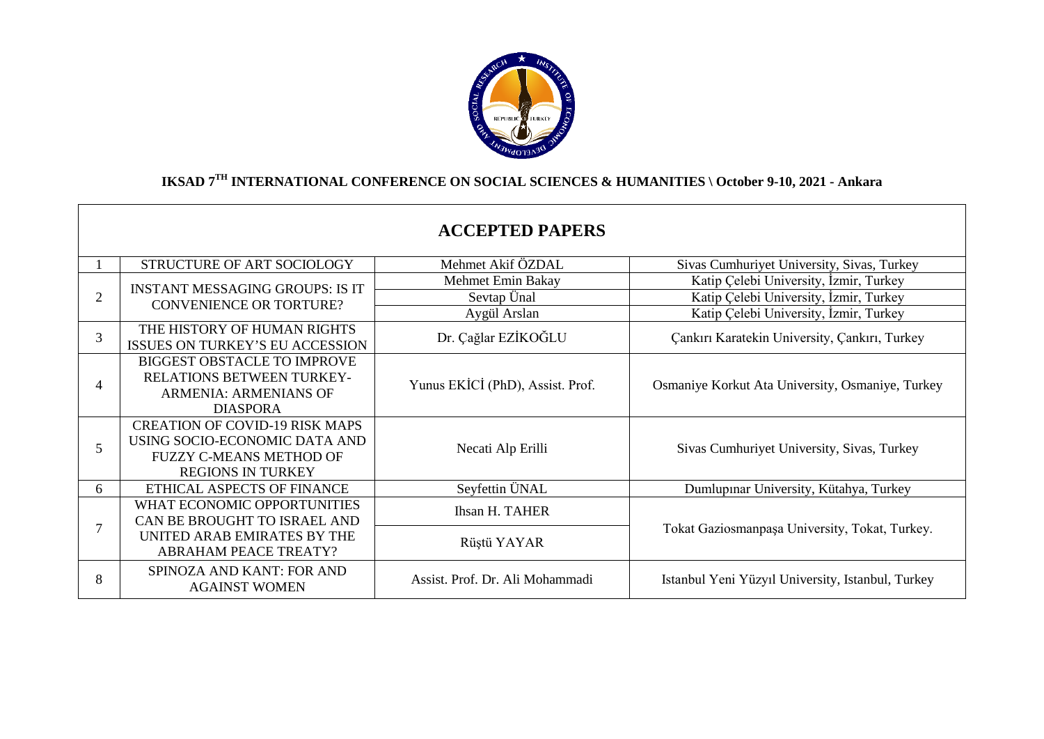

# **IKSAD 7TH INTERNATIONAL CONFERENCE ON SOCIAL SCIENCES & HUMANITIES \ October 9-10, 2021 - Ankara**

|                          |                                                                                                                                      | <b>ACCEPTED PAPERS</b>           |                                                   |
|--------------------------|--------------------------------------------------------------------------------------------------------------------------------------|----------------------------------|---------------------------------------------------|
|                          | STRUCTURE OF ART SOCIOLOGY                                                                                                           | Mehmet Akif ÖZDAL                | Sivas Cumhuriyet University, Sivas, Turkey        |
| $\overline{2}$           | <b>INSTANT MESSAGING GROUPS: IS IT</b><br><b>CONVENIENCE OR TORTURE?</b>                                                             | Mehmet Emin Bakay                | Katip Çelebi University, İzmir, Turkey            |
|                          |                                                                                                                                      | Sevtap Ünal                      | Katip Çelebi University, İzmir, Turkey            |
|                          |                                                                                                                                      | Aygül Arslan                     | Katip Çelebi University, İzmir, Turkey            |
| 3                        | THE HISTORY OF HUMAN RIGHTS<br>ISSUES ON TURKEY'S EU ACCESSION                                                                       | Dr. Çağlar EZİKOĞLU              | Çankırı Karatekin University, Çankırı, Turkey     |
| $\overline{\mathcal{A}}$ | <b>BIGGEST OBSTACLE TO IMPROVE</b><br>RELATIONS BETWEEN TURKEY-<br><b>ARMENIA: ARMENIANS OF</b><br><b>DIASPORA</b>                   | Yunus EKİCİ (PhD), Assist. Prof. | Osmaniye Korkut Ata University, Osmaniye, Turkey  |
| 5                        | <b>CREATION OF COVID-19 RISK MAPS</b><br>USING SOCIO-ECONOMIC DATA AND<br><b>FUZZY C-MEANS METHOD OF</b><br><b>REGIONS IN TURKEY</b> | Necati Alp Erilli                | Sivas Cumhuriyet University, Sivas, Turkey        |
| 6                        | ETHICAL ASPECTS OF FINANCE                                                                                                           | Seyfettin ÜNAL                   | Dumlupinar University, Kütahya, Turkey            |
| 7                        | WHAT ECONOMIC OPPORTUNITIES<br>CAN BE BROUGHT TO ISRAEL AND                                                                          | <b>Ihsan H. TAHER</b>            |                                                   |
|                          | UNITED ARAB EMIRATES BY THE<br><b>ABRAHAM PEACE TREATY?</b>                                                                          | Rüştü YAYAR                      | Tokat Gaziosmanpaşa University, Tokat, Turkey.    |
| 8                        | SPINOZA AND KANT: FOR AND<br><b>AGAINST WOMEN</b>                                                                                    | Assist. Prof. Dr. Ali Mohammadi  | Istanbul Yeni Yüzyıl University, Istanbul, Turkey |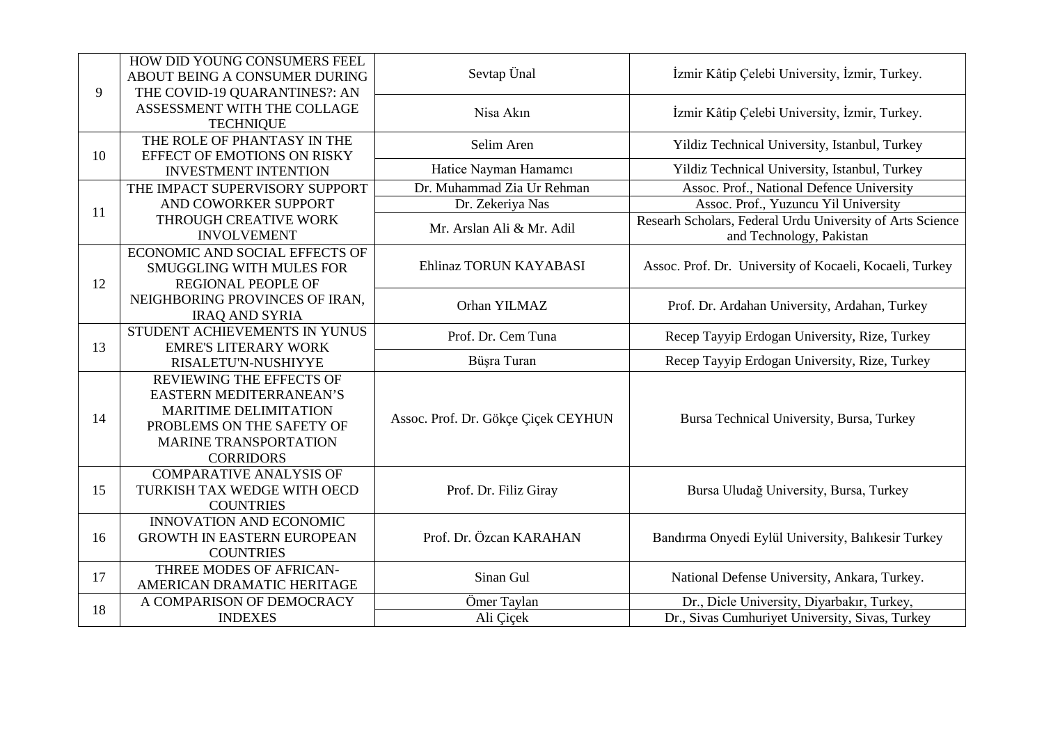| 9  | HOW DID YOUNG CONSUMERS FEEL<br>ABOUT BEING A CONSUMER DURING<br>THE COVID-19 QUARANTINES?: AN                                                                              | Sevtap Ünal                         | İzmir Kâtip Çelebi University, İzmir, Turkey.                                         |
|----|-----------------------------------------------------------------------------------------------------------------------------------------------------------------------------|-------------------------------------|---------------------------------------------------------------------------------------|
|    | ASSESSMENT WITH THE COLLAGE<br><b>TECHNIQUE</b>                                                                                                                             | Nisa Akın                           | İzmir Kâtip Çelebi University, İzmir, Turkey.                                         |
| 10 | THE ROLE OF PHANTASY IN THE                                                                                                                                                 | Selim Aren                          | Yildiz Technical University, Istanbul, Turkey                                         |
|    | EFFECT OF EMOTIONS ON RISKY<br><b>INVESTMENT INTENTION</b>                                                                                                                  | Hatice Nayman Hamamcı               | Yildiz Technical University, Istanbul, Turkey                                         |
|    | THE IMPACT SUPERVISORY SUPPORT                                                                                                                                              | Dr. Muhammad Zia Ur Rehman          | Assoc. Prof., National Defence University                                             |
|    | AND COWORKER SUPPORT                                                                                                                                                        | Dr. Zekeriya Nas                    | Assoc. Prof., Yuzuncu Yil University                                                  |
| 11 | THROUGH CREATIVE WORK<br><b>INVOLVEMENT</b>                                                                                                                                 | Mr. Arslan Ali & Mr. Adil           | Researh Scholars, Federal Urdu University of Arts Science<br>and Technology, Pakistan |
| 12 | ECONOMIC AND SOCIAL EFFECTS OF<br><b>SMUGGLING WITH MULES FOR</b><br><b>REGIONAL PEOPLE OF</b>                                                                              | Ehlinaz TORUN KAYABASI              | Assoc. Prof. Dr. University of Kocaeli, Kocaeli, Turkey                               |
|    | NEIGHBORING PROVINCES OF IRAN.<br><b>IRAQ AND SYRIA</b>                                                                                                                     | Orhan YILMAZ                        | Prof. Dr. Ardahan University, Ardahan, Turkey                                         |
| 13 | STUDENT ACHIEVEMENTS IN YUNUS<br><b>EMRE'S LITERARY WORK</b>                                                                                                                | Prof. Dr. Cem Tuna                  | Recep Tayyip Erdogan University, Rize, Turkey                                         |
|    | RISALETU'N-NUSHIYYE                                                                                                                                                         | Büşra Turan                         | Recep Tayyip Erdogan University, Rize, Turkey                                         |
| 14 | REVIEWING THE EFFECTS OF<br><b>EASTERN MEDITERRANEAN'S</b><br><b>MARITIME DELIMITATION</b><br>PROBLEMS ON THE SAFETY OF<br><b>MARINE TRANSPORTATION</b><br><b>CORRIDORS</b> | Assoc. Prof. Dr. Gökçe Çiçek CEYHUN | Bursa Technical University, Bursa, Turkey                                             |
| 15 | <b>COMPARATIVE ANALYSIS OF</b><br>TURKISH TAX WEDGE WITH OECD<br><b>COUNTRIES</b>                                                                                           | Prof. Dr. Filiz Giray               | Bursa Uludağ University, Bursa, Turkey                                                |
| 16 | INNOVATION AND ECONOMIC<br><b>GROWTH IN EASTERN EUROPEAN</b><br><b>COUNTRIES</b>                                                                                            | Prof. Dr. Özcan KARAHAN             | Bandırma Onyedi Eylül University, Balıkesir Turkey                                    |
| 17 | THREE MODES OF AFRICAN-<br>AMERICAN DRAMATIC HERITAGE                                                                                                                       | Sinan Gul                           | National Defense University, Ankara, Turkey.                                          |
| 18 | A COMPARISON OF DEMOCRACY                                                                                                                                                   | Ömer Taylan                         | Dr., Dicle University, Diyarbakır, Turkey,                                            |
|    | <b>INDEXES</b>                                                                                                                                                              | Ali Çiçek                           | Dr., Sivas Cumhuriyet University, Sivas, Turkey                                       |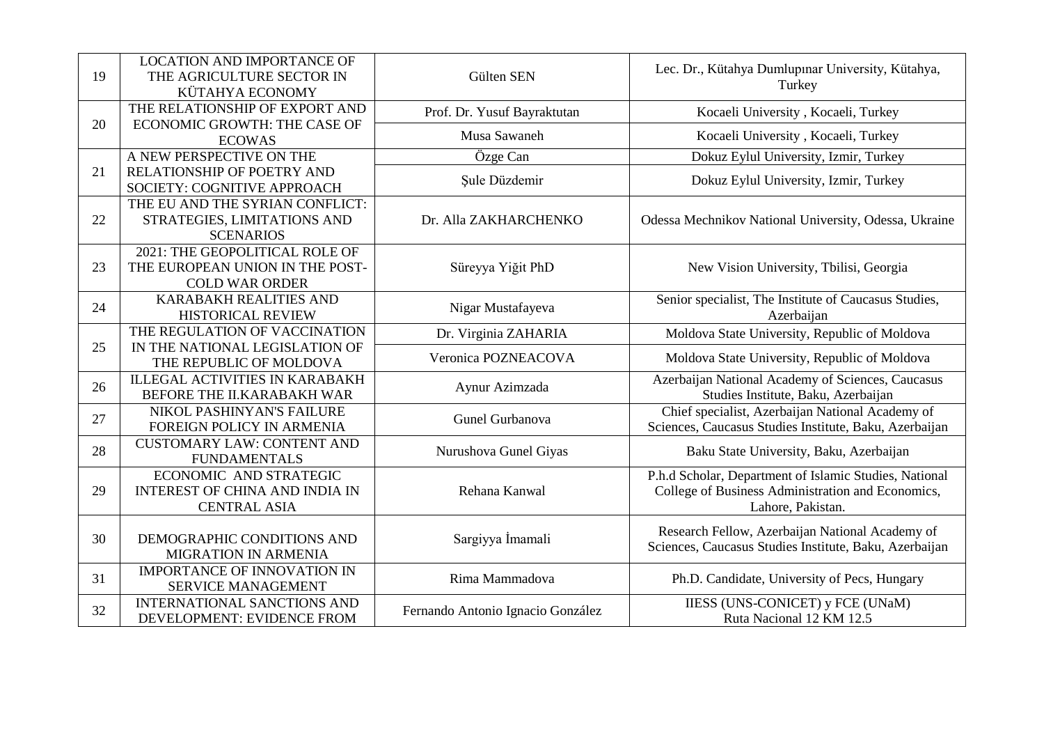| 19 | <b>LOCATION AND IMPORTANCE OF</b><br>THE AGRICULTURE SECTOR IN<br>KÜTAHYA ECONOMY          | Gülten SEN                        | Lec. Dr., Kütahya Dumlupınar University, Kütahya,<br>Turkey                                                                      |
|----|--------------------------------------------------------------------------------------------|-----------------------------------|----------------------------------------------------------------------------------------------------------------------------------|
|    | THE RELATIONSHIP OF EXPORT AND                                                             | Prof. Dr. Yusuf Bayraktutan       | Kocaeli University, Kocaeli, Turkey                                                                                              |
| 20 | ECONOMIC GROWTH: THE CASE OF<br><b>ECOWAS</b>                                              | Musa Sawaneh                      | Kocaeli University, Kocaeli, Turkey                                                                                              |
|    | A NEW PERSPECTIVE ON THE                                                                   | Özge Can                          | Dokuz Eylul University, Izmir, Turkey                                                                                            |
| 21 | RELATIONSHIP OF POETRY AND<br>SOCIETY: COGNITIVE APPROACH                                  | Şule Düzdemir                     | Dokuz Eylul University, Izmir, Turkey                                                                                            |
| 22 | THE EU AND THE SYRIAN CONFLICT:<br>STRATEGIES, LIMITATIONS AND<br><b>SCENARIOS</b>         | Dr. Alla ZAKHARCHENKO             | Odessa Mechnikov National University, Odessa, Ukraine                                                                            |
| 23 | 2021: THE GEOPOLITICAL ROLE OF<br>THE EUROPEAN UNION IN THE POST-<br><b>COLD WAR ORDER</b> | Süreyya Yiğit PhD                 | New Vision University, Tbilisi, Georgia                                                                                          |
| 24 | <b>KARABAKH REALITIES AND</b><br><b>HISTORICAL REVIEW</b>                                  | Nigar Mustafayeva                 | Senior specialist, The Institute of Caucasus Studies,<br>Azerbaijan                                                              |
|    | THE REGULATION OF VACCINATION                                                              | Dr. Virginia ZAHARIA              | Moldova State University, Republic of Moldova                                                                                    |
| 25 | IN THE NATIONAL LEGISLATION OF<br>THE REPUBLIC OF MOLDOVA                                  | Veronica POZNEACOVA               | Moldova State University, Republic of Moldova                                                                                    |
| 26 | <b>ILLEGAL ACTIVITIES IN KARABAKH</b><br>BEFORE THE II.KARABAKH WAR                        | Aynur Azimzada                    | Azerbaijan National Academy of Sciences, Caucasus<br>Studies Institute, Baku, Azerbaijan                                         |
| 27 | NIKOL PASHINYAN'S FAILURE<br>FOREIGN POLICY IN ARMENIA                                     | Gunel Gurbanova                   | Chief specialist, Azerbaijan National Academy of<br>Sciences, Caucasus Studies Institute, Baku, Azerbaijan                       |
| 28 | <b>CUSTOMARY LAW: CONTENT AND</b><br><b>FUNDAMENTALS</b>                                   | Nurushova Gunel Giyas             | Baku State University, Baku, Azerbaijan                                                                                          |
| 29 | ECONOMIC AND STRATEGIC<br><b>INTEREST OF CHINA AND INDIA IN</b><br><b>CENTRAL ASIA</b>     | Rehana Kanwal                     | P.h.d Scholar, Department of Islamic Studies, National<br>College of Business Administration and Economics,<br>Lahore, Pakistan. |
| 30 | DEMOGRAPHIC CONDITIONS AND<br><b>MIGRATION IN ARMENIA</b>                                  | Sargiyya İmamali                  | Research Fellow, Azerbaijan National Academy of<br>Sciences, Caucasus Studies Institute, Baku, Azerbaijan                        |
| 31 | <b>IMPORTANCE OF INNOVATION IN</b><br><b>SERVICE MANAGEMENT</b>                            | Rima Mammadova                    | Ph.D. Candidate, University of Pecs, Hungary                                                                                     |
| 32 | <b>INTERNATIONAL SANCTIONS AND</b><br>DEVELOPMENT: EVIDENCE FROM                           | Fernando Antonio Ignacio González | <b>IIESS (UNS-CONICET) y FCE (UNaM)</b><br>Ruta Nacional 12 KM 12.5                                                              |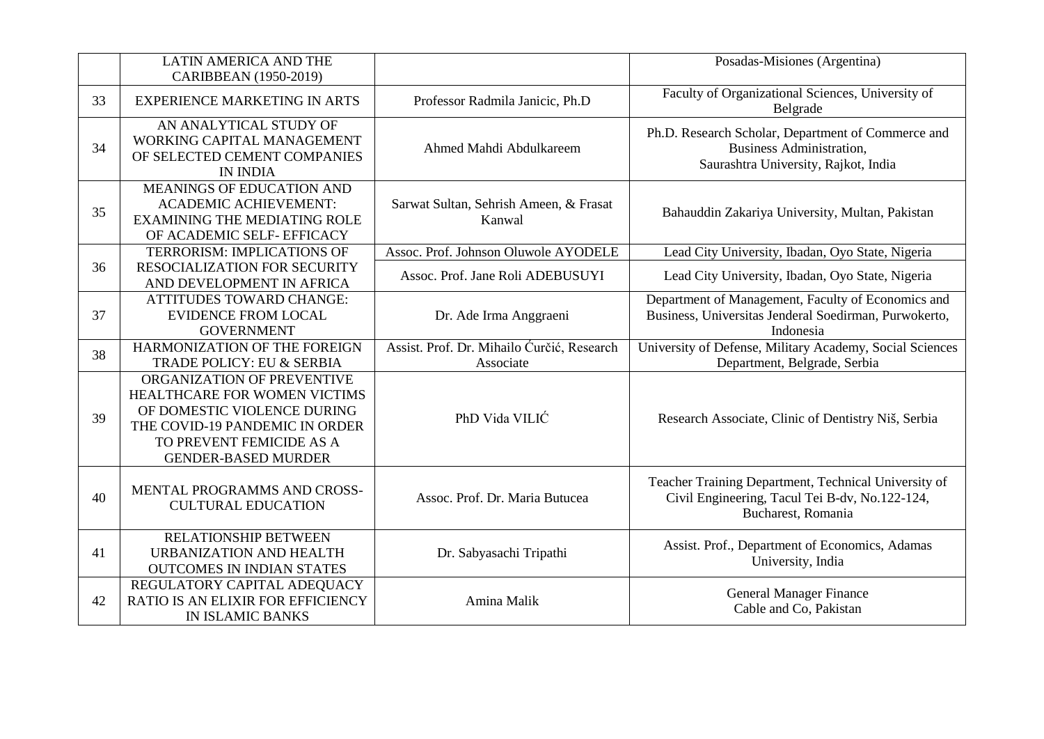|    | <b>LATIN AMERICA AND THE</b><br>CARIBBEAN (1950-2019)                                                                                                                                 |                                                         | Posadas-Misiones (Argentina)                                                                                                  |
|----|---------------------------------------------------------------------------------------------------------------------------------------------------------------------------------------|---------------------------------------------------------|-------------------------------------------------------------------------------------------------------------------------------|
| 33 | <b>EXPERIENCE MARKETING IN ARTS</b>                                                                                                                                                   | Professor Radmila Janicic, Ph.D                         | Faculty of Organizational Sciences, University of<br>Belgrade                                                                 |
| 34 | AN ANALYTICAL STUDY OF<br>WORKING CAPITAL MANAGEMENT<br>OF SELECTED CEMENT COMPANIES<br><b>IN INDIA</b>                                                                               | Ahmed Mahdi Abdulkareem                                 | Ph.D. Research Scholar, Department of Commerce and<br><b>Business Administration,</b><br>Saurashtra University, Rajkot, India |
| 35 | <b>MEANINGS OF EDUCATION AND</b><br><b>ACADEMIC ACHIEVEMENT:</b><br><b>EXAMINING THE MEDIATING ROLE</b><br>OF ACADEMIC SELF- EFFICACY                                                 | Sarwat Sultan, Sehrish Ameen, & Frasat<br>Kanwal        | Bahauddin Zakariya University, Multan, Pakistan                                                                               |
|    | TERRORISM: IMPLICATIONS OF                                                                                                                                                            | Assoc. Prof. Johnson Oluwole AYODELE                    | Lead City University, Ibadan, Oyo State, Nigeria                                                                              |
| 36 | RESOCIALIZATION FOR SECURITY<br>AND DEVELOPMENT IN AFRICA                                                                                                                             | Assoc. Prof. Jane Roli ADEBUSUYI                        | Lead City University, Ibadan, Oyo State, Nigeria                                                                              |
| 37 | <b>ATTITUDES TOWARD CHANGE:</b><br><b>EVIDENCE FROM LOCAL</b><br><b>GOVERNMENT</b>                                                                                                    | Dr. Ade Irma Anggraeni                                  | Department of Management, Faculty of Economics and<br>Business, Universitas Jenderal Soedirman, Purwokerto,<br>Indonesia      |
| 38 | HARMONIZATION OF THE FOREIGN<br>TRADE POLICY: EU & SERBIA                                                                                                                             | Assist. Prof. Dr. Mihailo Ćurčić, Research<br>Associate | University of Defense, Military Academy, Social Sciences<br>Department, Belgrade, Serbia                                      |
| 39 | ORGANIZATION OF PREVENTIVE<br>HEALTHCARE FOR WOMEN VICTIMS<br>OF DOMESTIC VIOLENCE DURING<br>THE COVID-19 PANDEMIC IN ORDER<br>TO PREVENT FEMICIDE AS A<br><b>GENDER-BASED MURDER</b> | PhD Vida VILIĆ                                          | Research Associate, Clinic of Dentistry Niš, Serbia                                                                           |
| 40 | MENTAL PROGRAMMS AND CROSS-<br><b>CULTURAL EDUCATION</b>                                                                                                                              | Assoc. Prof. Dr. Maria Butucea                          | Teacher Training Department, Technical University of<br>Civil Engineering, Tacul Tei B-dv, No.122-124,<br>Bucharest, Romania  |
| 41 | RELATIONSHIP BETWEEN<br>URBANIZATION AND HEALTH<br><b>OUTCOMES IN INDIAN STATES</b>                                                                                                   | Dr. Sabyasachi Tripathi                                 | Assist. Prof., Department of Economics, Adamas<br>University, India                                                           |
| 42 | REGULATORY CAPITAL ADEQUACY<br>RATIO IS AN ELIXIR FOR EFFICIENCY<br><b>IN ISLAMIC BANKS</b>                                                                                           | Amina Malik                                             | <b>General Manager Finance</b><br>Cable and Co, Pakistan                                                                      |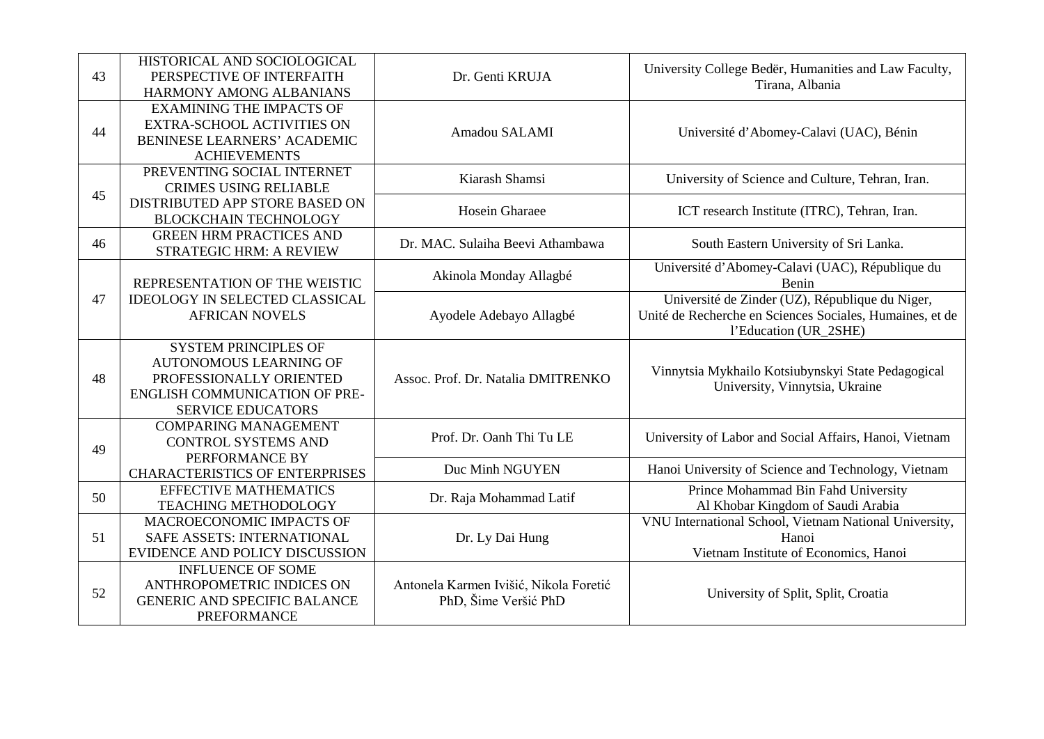| 43 | HISTORICAL AND SOCIOLOGICAL<br>PERSPECTIVE OF INTERFAITH<br>HARMONY AMONG ALBANIANS                                                                         | Dr. Genti KRUJA                                                | University College Bedër, Humanities and Law Faculty,<br>Tirana, Albania                                                             |
|----|-------------------------------------------------------------------------------------------------------------------------------------------------------------|----------------------------------------------------------------|--------------------------------------------------------------------------------------------------------------------------------------|
| 44 | <b>EXAMINING THE IMPACTS OF</b><br><b>EXTRA-SCHOOL ACTIVITIES ON</b><br><b>BENINESE LEARNERS' ACADEMIC</b><br><b>ACHIEVEMENTS</b>                           | Amadou SALAMI                                                  | Université d'Abomey-Calavi (UAC), Bénin                                                                                              |
| 45 | PREVENTING SOCIAL INTERNET<br><b>CRIMES USING RELIABLE</b>                                                                                                  | Kiarash Shamsi                                                 | University of Science and Culture, Tehran, Iran.                                                                                     |
|    | DISTRIBUTED APP STORE BASED ON<br><b>BLOCKCHAIN TECHNOLOGY</b>                                                                                              | Hosein Gharaee                                                 | ICT research Institute (ITRC), Tehran, Iran.                                                                                         |
| 46 | <b>GREEN HRM PRACTICES AND</b><br>STRATEGIC HRM: A REVIEW                                                                                                   | Dr. MAC. Sulaiha Beevi Athambawa                               | South Eastern University of Sri Lanka.                                                                                               |
|    | REPRESENTATION OF THE WEISTIC<br><b>IDEOLOGY IN SELECTED CLASSICAL</b><br><b>AFRICAN NOVELS</b>                                                             | Akinola Monday Allagbé                                         | Université d'Abomey-Calavi (UAC), République du<br>Benin                                                                             |
| 47 |                                                                                                                                                             | Ayodele Adebayo Allagbé                                        | Université de Zinder (UZ), République du Niger,<br>Unité de Recherche en Sciences Sociales, Humaines, et de<br>l'Education (UR_2SHE) |
| 48 | <b>SYSTEM PRINCIPLES OF</b><br><b>AUTONOMOUS LEARNING OF</b><br>PROFESSIONALLY ORIENTED<br><b>ENGLISH COMMUNICATION OF PRE-</b><br><b>SERVICE EDUCATORS</b> | Assoc. Prof. Dr. Natalia DMITRENKO                             | Vinnytsia Mykhailo Kotsiubynskyi State Pedagogical<br>University, Vinnytsia, Ukraine                                                 |
| 49 | <b>COMPARING MANAGEMENT</b><br><b>CONTROL SYSTEMS AND</b><br>PERFORMANCE BY                                                                                 | Prof. Dr. Oanh Thi Tu LE                                       | University of Labor and Social Affairs, Hanoi, Vietnam                                                                               |
|    | <b>CHARACTERISTICS OF ENTERPRISES</b>                                                                                                                       | Duc Minh NGUYEN                                                | Hanoi University of Science and Technology, Vietnam                                                                                  |
| 50 | <b>EFFECTIVE MATHEMATICS</b><br><b>TEACHING METHODOLOGY</b>                                                                                                 | Dr. Raja Mohammad Latif                                        | Prince Mohammad Bin Fahd University<br>Al Khobar Kingdom of Saudi Arabia                                                             |
| 51 | MACROECONOMIC IMPACTS OF<br>SAFE ASSETS: INTERNATIONAL<br>EVIDENCE AND POLICY DISCUSSION                                                                    | Dr. Ly Dai Hung                                                | VNU International School, Vietnam National University,<br>Hanoi<br>Vietnam Institute of Economics, Hanoi                             |
| 52 | <b>INFLUENCE OF SOME</b><br>ANTHROPOMETRIC INDICES ON<br><b>GENERIC AND SPECIFIC BALANCE</b><br><b>PREFORMANCE</b>                                          | Antonela Karmen Ivišić, Nikola Foretić<br>PhD, Šime Veršić PhD | University of Split, Split, Croatia                                                                                                  |